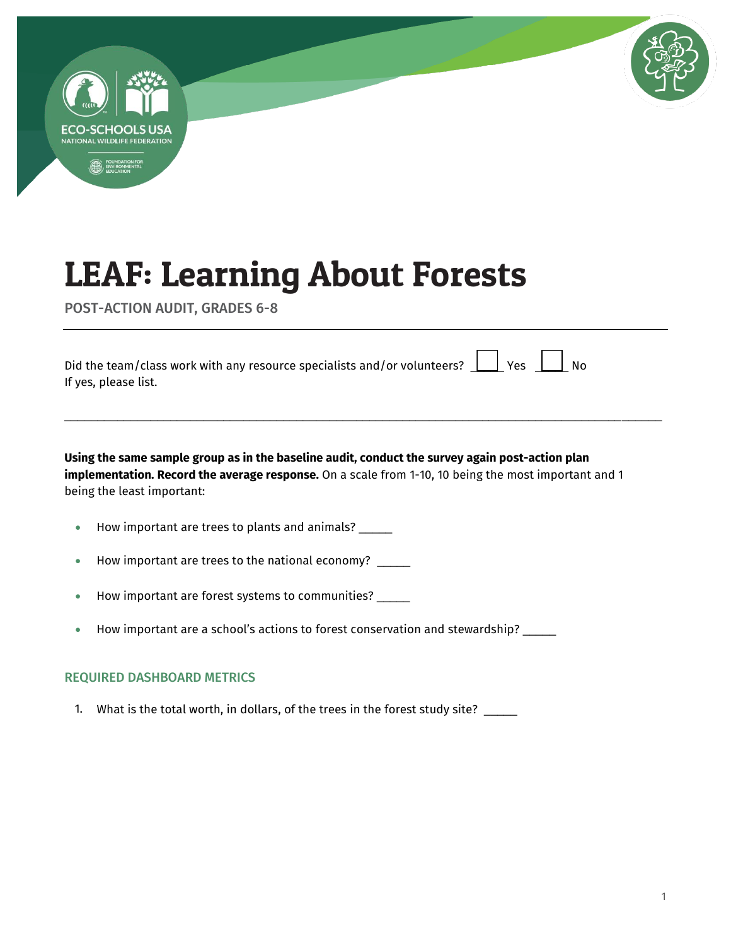

POST-ACTION AUDIT, GRADES 6-8

| Did the team/class work with any resource specialists and/or volunteers? $\boxed{\phantom{a}}$ Yes $\phantom{a}$ No |  |  |  |
|---------------------------------------------------------------------------------------------------------------------|--|--|--|
| If yes, please list.                                                                                                |  |  |  |

\_\_\_\_\_\_\_\_\_\_\_\_\_\_\_\_\_\_\_\_\_\_\_\_\_\_\_\_\_\_\_\_\_\_\_\_\_\_\_\_\_\_\_\_\_\_\_\_\_\_\_\_\_\_\_\_\_\_\_\_\_\_\_\_\_\_\_\_\_\_\_\_\_\_\_\_\_\_\_\_\_\_\_\_\_\_\_\_\_\_

**Using the same sample group as in the baseline audit, conduct the survey again post-action plan implementation. Record the average response.** On a scale from 1-10, 10 being the most important and 1 being the least important:

- How important are trees to plants and animals?
- How important are trees to the national economy?
- How important are forest systems to communities? \_\_\_\_\_
- How important are a school's actions to forest conservation and stewardship? \_\_\_\_\_

#### REQUIRED DASHBOARD METRICS

1. What is the total worth, in dollars, of the trees in the forest study site? \_\_\_\_\_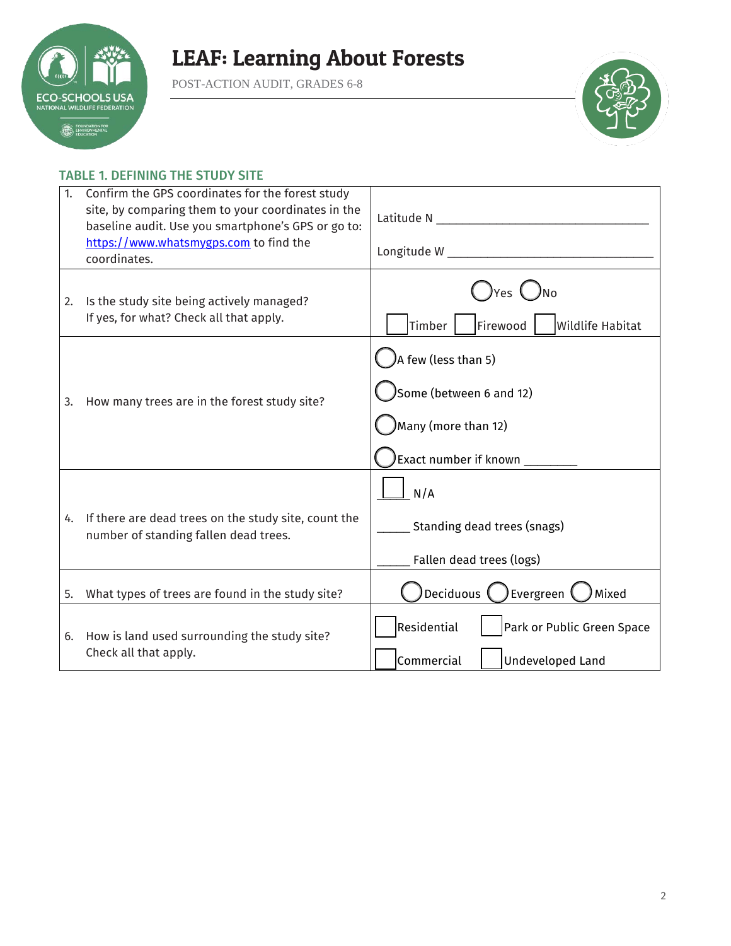

POST-ACTION AUDIT, GRADES 6-8



### TABLE 1. DEFINING THE STUDY SITE

| 1. | Confirm the GPS coordinates for the forest study<br>site, by comparing them to your coordinates in the<br>baseline audit. Use you smartphone's GPS or go to:<br>https://www.whatsmygps.com to find the<br>coordinates. | Longitude W New York Products and Congress of the Congress of the Congress of the Congress of the Congress of the Congress of the Congress of the Congress of the Congress of the Congress of the Congress of the Congress of |  |  |
|----|------------------------------------------------------------------------------------------------------------------------------------------------------------------------------------------------------------------------|-------------------------------------------------------------------------------------------------------------------------------------------------------------------------------------------------------------------------------|--|--|
| 2. | Is the study site being actively managed?<br>If yes, for what? Check all that apply.                                                                                                                                   | )Yes ( )No<br>Firewood<br>Timber  <br>Wildlife Habitat                                                                                                                                                                        |  |  |
| 3. | How many trees are in the forest study site?                                                                                                                                                                           | A few (less than 5)<br>Some (between 6 and 12)<br>Many (more than 12)<br>Exact number if known _                                                                                                                              |  |  |
| 4. | If there are dead trees on the study site, count the<br>number of standing fallen dead trees.                                                                                                                          | N/A<br>Standing dead trees (snags)<br>Fallen dead trees (logs)                                                                                                                                                                |  |  |
| 5. | What types of trees are found in the study site?                                                                                                                                                                       | Deciduous (<br>)Evergreen (<br>Mixed                                                                                                                                                                                          |  |  |
| 6. | How is land used surrounding the study site?<br>Check all that apply.                                                                                                                                                  | Residential<br>Park or Public Green Space<br>Commercial<br><b>Undeveloped Land</b>                                                                                                                                            |  |  |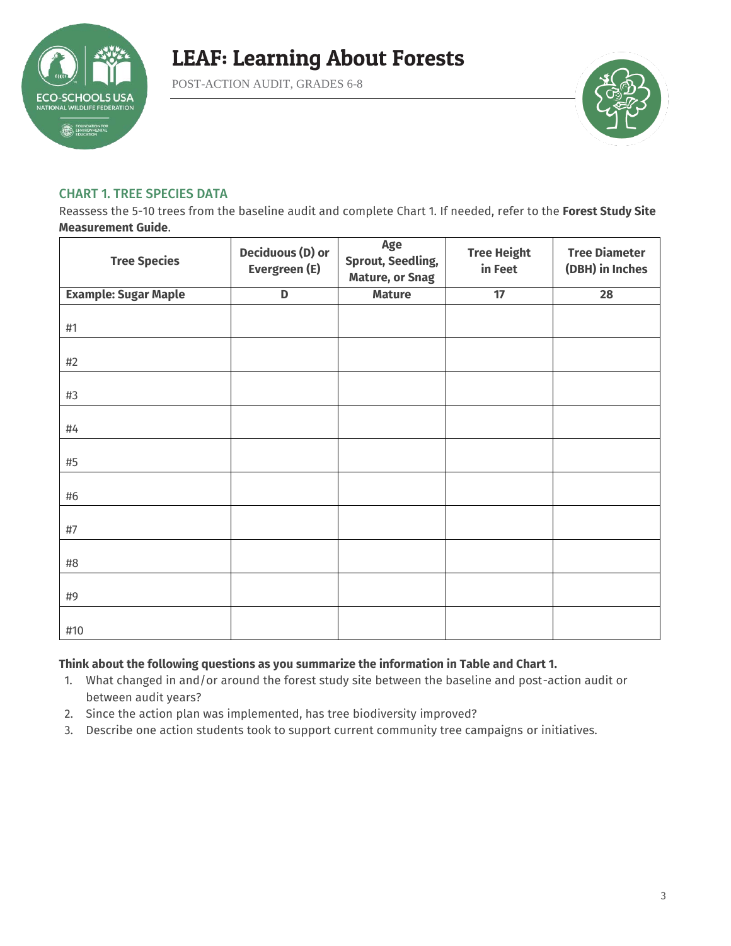

POST-ACTION AUDIT, GRADES 6-8



### CHART 1. TREE SPECIES DATA

Reassess the 5-10 trees from the baseline audit and complete Chart 1. If needed, refer to the **Forest Study Site Measurement Guide**.

| <b>Tree Species</b>         | <b>Deciduous (D) or</b><br>Evergreen (E) | Age<br><b>Sprout, Seedling,</b><br><b>Mature, or Snag</b> | <b>Tree Height</b><br>in Feet | <b>Tree Diameter</b><br>(DBH) in Inches |
|-----------------------------|------------------------------------------|-----------------------------------------------------------|-------------------------------|-----------------------------------------|
| <b>Example: Sugar Maple</b> | D                                        | <b>Mature</b>                                             | 17                            | 28                                      |
| #1                          |                                          |                                                           |                               |                                         |
| #2                          |                                          |                                                           |                               |                                         |
| #3                          |                                          |                                                           |                               |                                         |
| #4                          |                                          |                                                           |                               |                                         |
| #5                          |                                          |                                                           |                               |                                         |
| #6                          |                                          |                                                           |                               |                                         |
| #7                          |                                          |                                                           |                               |                                         |
| #8                          |                                          |                                                           |                               |                                         |
| #9                          |                                          |                                                           |                               |                                         |
| #10                         |                                          |                                                           |                               |                                         |

### **Think about the following questions as you summarize the information in Table and Chart 1.**

- 1. What changed in and/or around the forest study site between the baseline and post-action audit or between audit years?
- 2. Since the action plan was implemented, has tree biodiversity improved?
- 3. Describe one action students took to support current community tree campaigns or initiatives.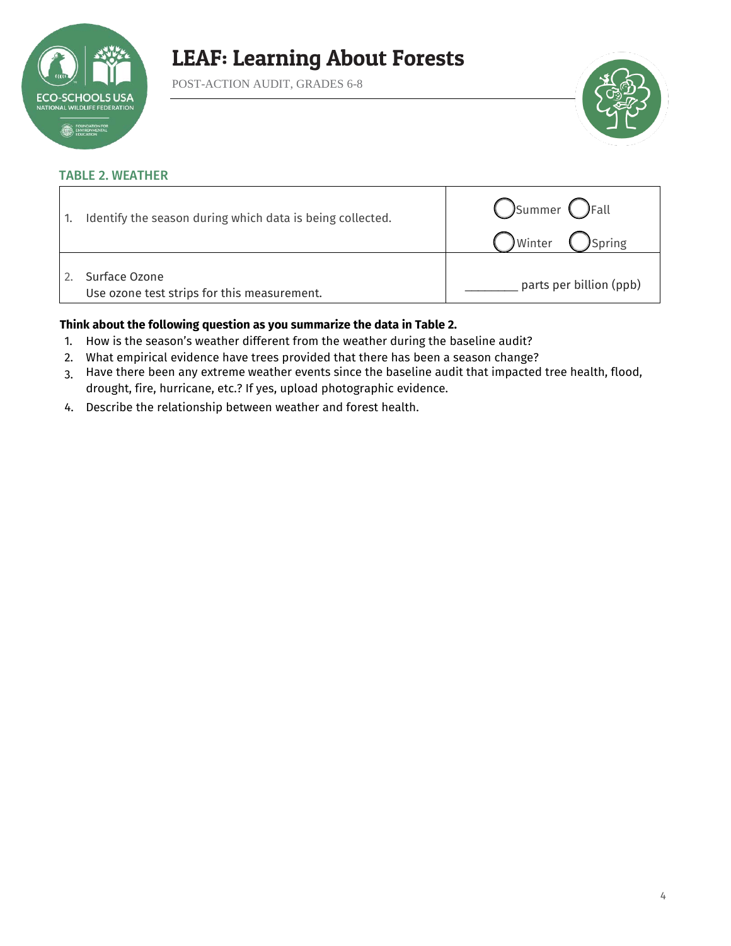

POST-ACTION AUDIT, GRADES 6-8



### TABLE 2. WEATHER

| Identify the season during which data is being collected.    | Summer OFall<br>) Winter ( ) Spring |
|--------------------------------------------------------------|-------------------------------------|
| Surface Ozone<br>Use ozone test strips for this measurement. | parts per billion (ppb)             |

### **Think about the following question as you summarize the data in Table 2.**

- 1. How is the season's weather different from the weather during the baseline audit?
- 2. What empirical evidence have trees provided that there has been a season change?
- 3. Have there been any extreme weather events since the baseline audit that impacted tree health, flood, drought, fire, hurricane, etc.? If yes, upload photographic evidence.
- 4. Describe the relationship between weather and forest health.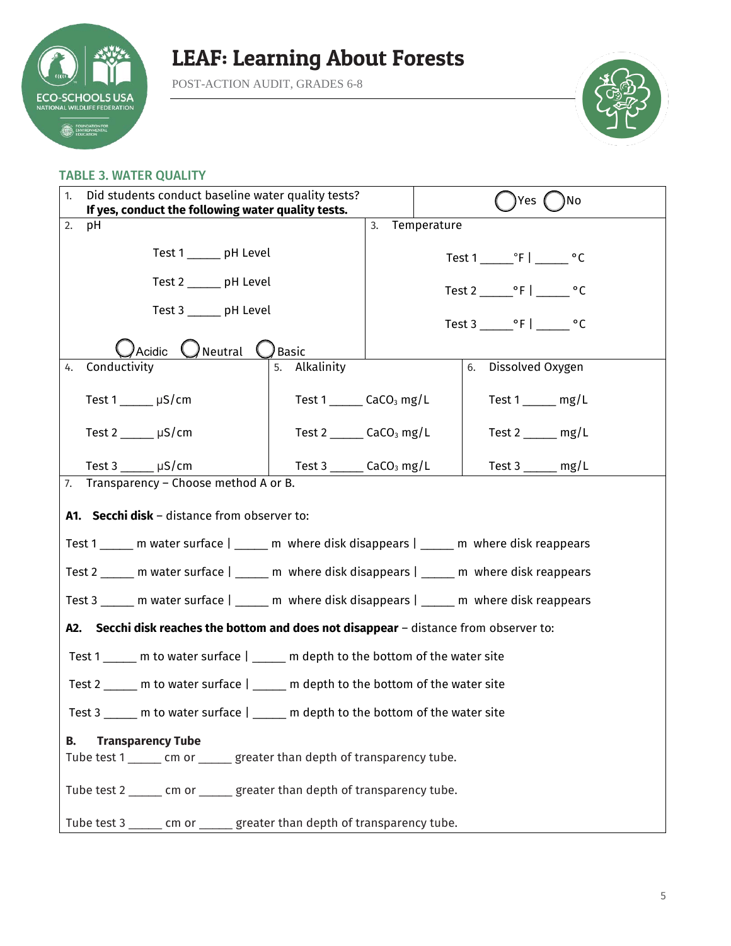

POST-ACTION AUDIT, GRADES 6-8



#### TABLE 3. WATER QUALITY

| Did students conduct baseline water quality tests?<br>1.<br>If yes, conduct the following water quality tests. |                                           |                   | Yes<br>No                              |
|----------------------------------------------------------------------------------------------------------------|-------------------------------------------|-------------------|----------------------------------------|
| 2.<br>рH                                                                                                       |                                           | 3.<br>Temperature |                                        |
| Test 1 ______ pH Level                                                                                         |                                           |                   |                                        |
| Test 2 ______ pH Level                                                                                         |                                           |                   |                                        |
| Test 3 ______ pH Level                                                                                         |                                           |                   | Test 3 $\degree$ F   $\degree$ C       |
| Acidic<br>$\bigcup$ Neutral                                                                                    | <b>Basic</b>                              |                   |                                        |
| Conductivity<br>4.                                                                                             | 5. Alkalinity                             |                   | 6. Dissolved Oxygen                    |
| Test $1 \_\_\_\mu$ µS/cm                                                                                       | Test $1$ _______ CaCO <sub>3</sub> mg/L   |                   | Test $1 \_\_\_$ mg/L                   |
| Test $2 \angle \qquad \qquad \mu$ S/cm                                                                         | Test $2 \_\_\_\_\$ CaCO <sub>3</sub> mg/L |                   | Test $2 \underline{\hspace{1cm}}$ mg/L |
| Test $3 \mu S/cm$                                                                                              | Test $3$ _______ CaCO <sub>3</sub> mg/L   |                   | Test $3 \qquad mg/L$                   |
| 7. Transparency - Choose method A or B.                                                                        |                                           |                   |                                        |
| A1. Secchi disk - distance from observer to:                                                                   |                                           |                   |                                        |
| Test 1 _____ m water surface   _____ m where disk disappears   _____ m where disk reappears                    |                                           |                   |                                        |
| Test 2 _____ m water surface   _____ m where disk disappears   _____ m where disk reappears                    |                                           |                   |                                        |
| Test 3 _____ m water surface   _____ m where disk disappears   _____ m where disk reappears                    |                                           |                   |                                        |
| A2. Secchi disk reaches the bottom and does not disappear - distance from observer to:                         |                                           |                   |                                        |
| Test 1 ______ m to water surface   _____ m depth to the bottom of the water site                               |                                           |                   |                                        |
| Test 2 _____ m to water surface   _____ m depth to the bottom of the water site                                |                                           |                   |                                        |
| Test 3 _____ m to water surface   _____ m depth to the bottom of the water site                                |                                           |                   |                                        |
| <b>Transparency Tube</b><br>В.                                                                                 |                                           |                   |                                        |
| Tube test 1 _____ cm or _____ greater than depth of transparency tube.                                         |                                           |                   |                                        |
| Tube test 2 cm or greater than depth of transparency tube.                                                     |                                           |                   |                                        |
| Tube test 3 _____ cm or _____ greater than depth of transparency tube.                                         |                                           |                   |                                        |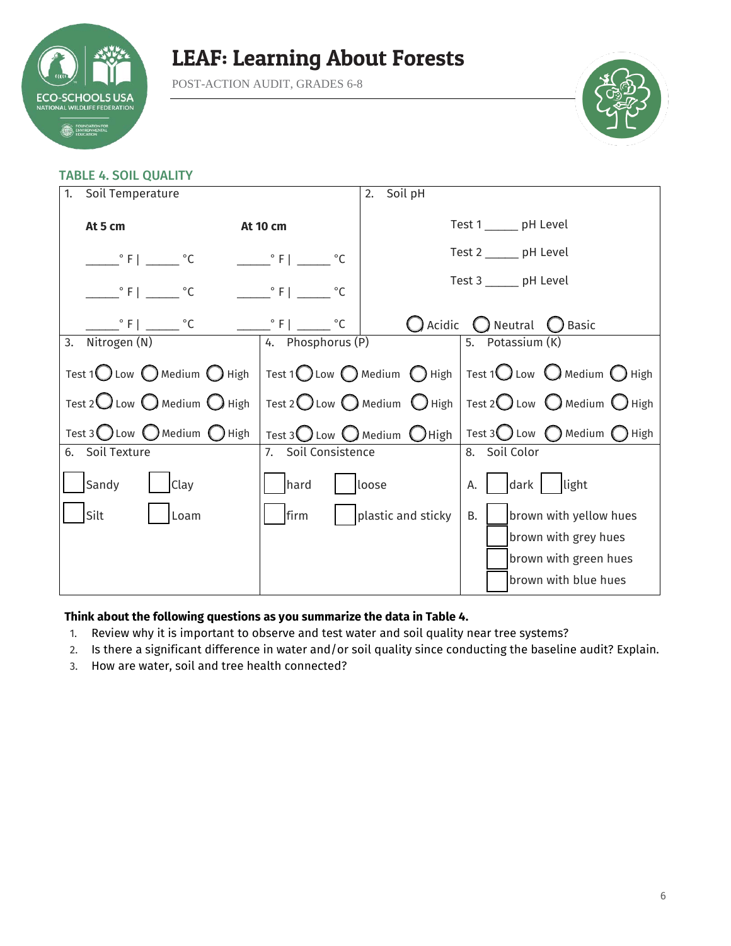

POST-ACTION AUDIT, GRADES 6-8



### TABLE 4. SOIL QUALITY

| Soil Temperature<br>1.                                  |                             | Soil pH<br>2.          |                                                                                                                   |  |
|---------------------------------------------------------|-----------------------------|------------------------|-------------------------------------------------------------------------------------------------------------------|--|
| At 5 cm<br><b>At 10 cm</b>                              |                             |                        | Test 1 ______ pH Level                                                                                            |  |
| $\degree$ F   $\degree$ C                               | $\degree$ F $\degree$ C     |                        | Test 2 ______ pH Level                                                                                            |  |
| $\degree$ F   $\degree$ C                               | $\circ$ F  <br>$^{\circ}C$  | Test 3 ______ pH Level |                                                                                                                   |  |
| $\degree$ F $\degree$ C                                 | $\circ$ F  <br>$^{\circ}$ C |                        | $\bigcirc$ Acidic $\bigcirc$ Neutral $\bigcirc$ Basic                                                             |  |
| Nitrogen (N)<br>3.                                      | 4. Phosphorus (P)           |                        | 5. Potassium (K)                                                                                                  |  |
| Test 1 $\bigcirc$ Low $\bigcirc$ Medium $\bigcirc$ High |                             |                        | Test 1 $\bigcirc$ Low $\bigcirc$ Medium $\bigcirc$ High   Test 1 $\bigcirc$ Low $\bigcirc$ Medium $\bigcirc$ High |  |
| Test 2 $\bigcup$ Low $\bigcirc$ Medium $\bigcirc$ High  |                             |                        | Test 2 Low $\bigcirc$ Medium $\bigcirc$ High   Test 2 Low $\bigcirc$ Medium $\bigcirc$ High                       |  |
| Test 3 Low $\bigcirc$ Medium $\bigcirc$ High            |                             |                        | Test 3 Low O Medium O High   Test 3 O Low O Medium O High                                                         |  |
| 6. Soil Texture                                         | 7. Soil Consistence         |                        | 8. Soil Color                                                                                                     |  |
| Sandy<br>Clay                                           | hard                        | loose                  | dark light<br>А.                                                                                                  |  |
| Silt<br>Loam                                            | firm                        | plastic and sticky     | <b>B.</b><br>brown with yellow hues                                                                               |  |
|                                                         |                             |                        | brown with grey hues                                                                                              |  |
|                                                         |                             |                        | brown with green hues                                                                                             |  |
|                                                         |                             |                        | brown with blue hues                                                                                              |  |

### **Think about the following questions as you summarize the data in Table 4.**

- 1. Review why it is important to observe and test water and soil quality near tree systems?
- 2. Is there a significant difference in water and/or soil quality since conducting the baseline audit? Explain.
- 3. How are water, soil and tree health connected?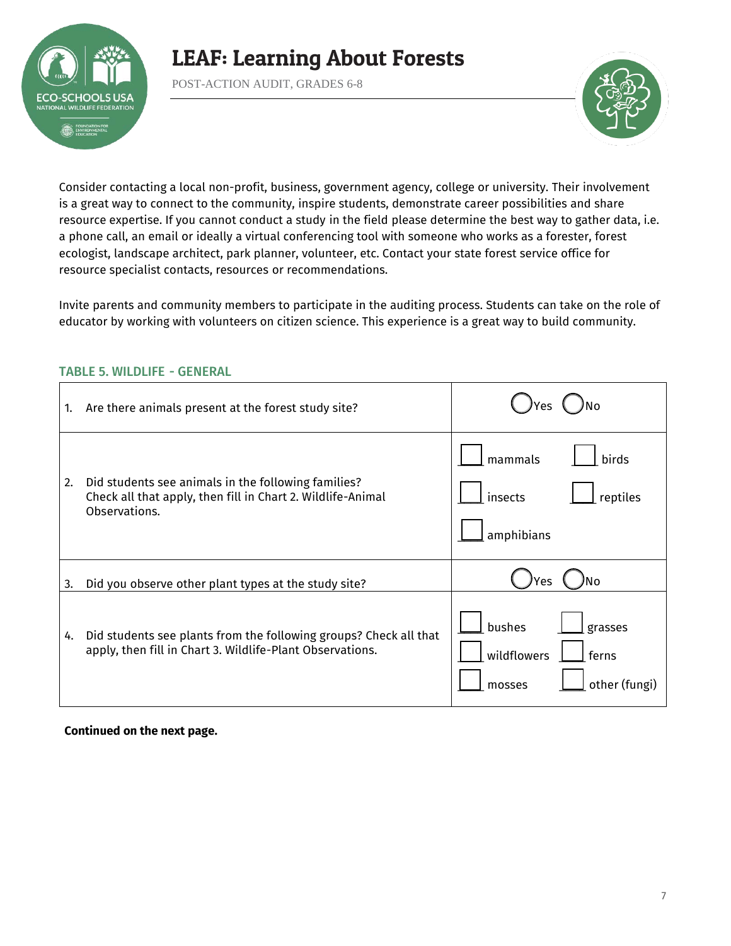

POST-ACTION AUDIT, GRADES 6-8



Consider contacting a local non-profit, business, government agency, college or university. Their involvement is a great way to connect to the community, inspire students, demonstrate career possibilities and share resource expertise. If you cannot conduct a study in the field please determine the best way to gather data, i.e. a phone call, an email or ideally a virtual conferencing tool with someone who works as a forester, forest ecologist, landscape architect, park planner, volunteer, etc. Contact your state forest service office for resource specialist contacts, resources or recommendations.

Invite parents and community members to participate in the auditing process. Students can take on the role of educator by working with volunteers on citizen science. This experience is a great way to build community.

| 1. | Are there animals present at the forest study site?                                                                                 |                                                                      |
|----|-------------------------------------------------------------------------------------------------------------------------------------|----------------------------------------------------------------------|
| 2. | Did students see animals in the following families?<br>Check all that apply, then fill in Chart 2. Wildlife-Animal<br>Observations. | mammals<br>birds<br>insects<br>reptiles<br>amphibians                |
| 3. | Did you observe other plant types at the study site?                                                                                | Nο<br>'es                                                            |
| 4. | Did students see plants from the following groups? Check all that<br>apply, then fill in Chart 3. Wildlife-Plant Observations.      | bushes<br>grasses<br>wildflowers<br>ferns<br>other (fungi)<br>mosses |

### TABLE 5. WILDLIFE - GENERAL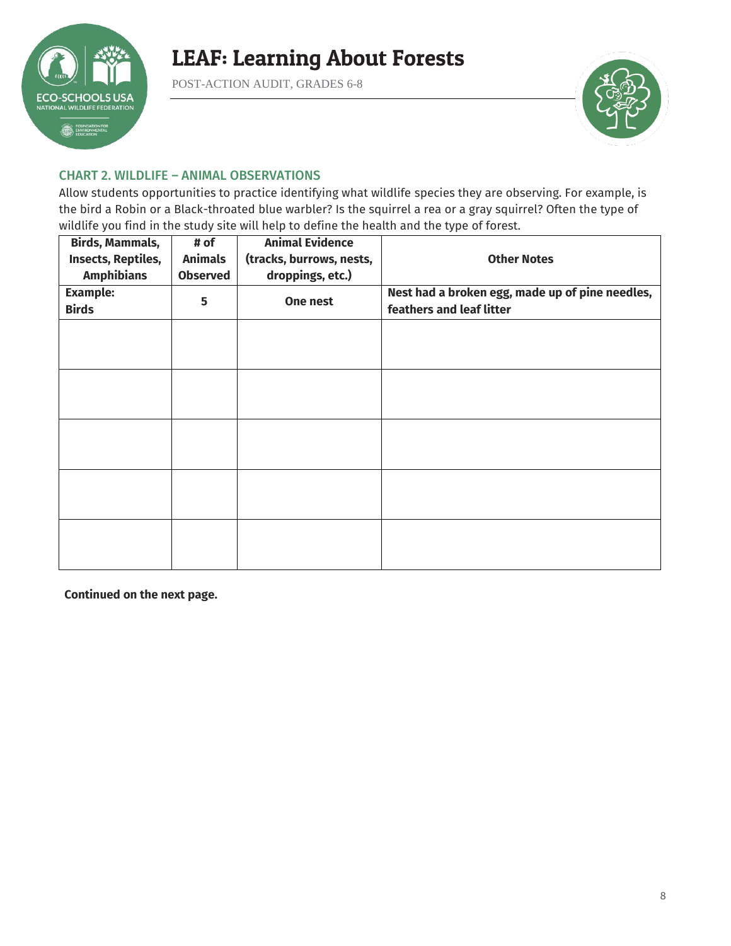

POST-ACTION AUDIT, GRADES 6-8



### CHART 2. WILDLIFE – ANIMAL OBSERVATIONS

Allow students opportunities to practice identifying what wildlife species they are observing. For example, is the bird a Robin or a Black-throated blue warbler? Is the squirrel a rea or a gray squirrel? Often the type of wildlife you find in the study site will help to define the health and the type of forest.

| <b>Birds, Mammals,</b> | # of            | <b>Animal Evidence</b>   |                                                 |
|------------------------|-----------------|--------------------------|-------------------------------------------------|
| Insects, Reptiles,     | <b>Animals</b>  | (tracks, burrows, nests, | <b>Other Notes</b>                              |
| <b>Amphibians</b>      | <b>Observed</b> | droppings, etc.)         |                                                 |
| <b>Example:</b>        | 5               | One nest                 | Nest had a broken egg, made up of pine needles, |
| <b>Birds</b>           |                 |                          | feathers and leaf litter                        |
|                        |                 |                          |                                                 |
|                        |                 |                          |                                                 |
|                        |                 |                          |                                                 |
|                        |                 |                          |                                                 |
|                        |                 |                          |                                                 |
|                        |                 |                          |                                                 |
|                        |                 |                          |                                                 |
|                        |                 |                          |                                                 |
|                        |                 |                          |                                                 |
|                        |                 |                          |                                                 |
|                        |                 |                          |                                                 |
|                        |                 |                          |                                                 |
|                        |                 |                          |                                                 |
|                        |                 |                          |                                                 |
|                        |                 |                          |                                                 |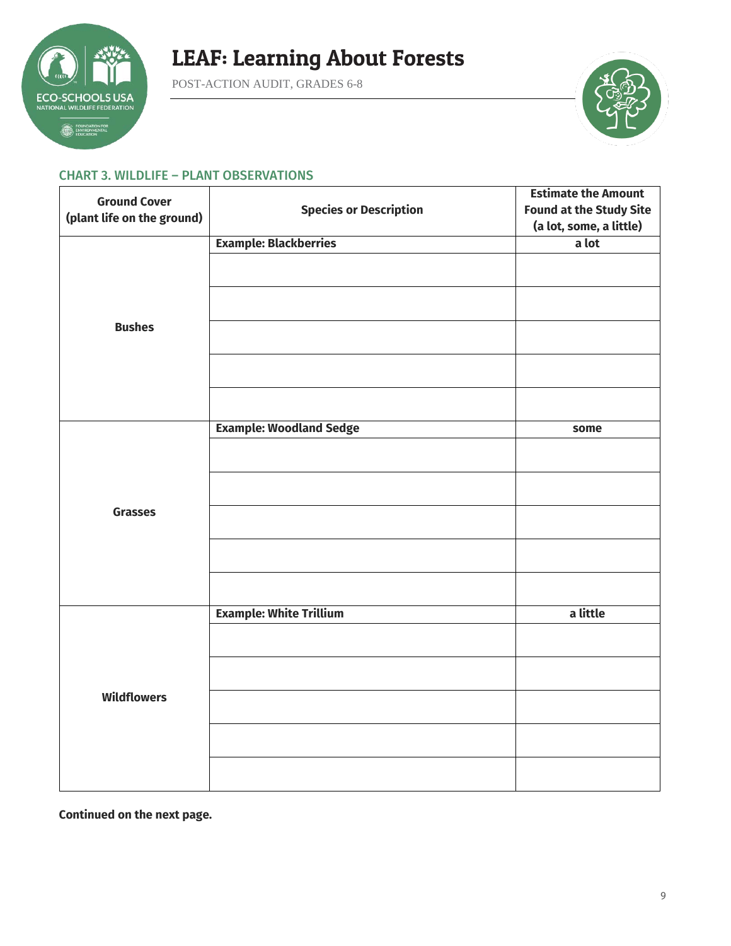

POST-ACTION AUDIT, GRADES 6-8



#### CHART 3. WILDLIFE – PLANT OBSERVATIONS

| <b>Ground Cover</b>        |                                | <b>Estimate the Amount</b>     |
|----------------------------|--------------------------------|--------------------------------|
| (plant life on the ground) | <b>Species or Description</b>  | <b>Found at the Study Site</b> |
|                            |                                | (a lot, some, a little)        |
|                            | <b>Example: Blackberries</b>   | a lot                          |
|                            |                                |                                |
|                            |                                |                                |
| <b>Bushes</b>              |                                |                                |
|                            |                                |                                |
|                            |                                |                                |
|                            | <b>Example: Woodland Sedge</b> | some                           |
|                            |                                |                                |
|                            |                                |                                |
| <b>Grasses</b>             |                                |                                |
|                            |                                |                                |
|                            |                                |                                |
|                            | <b>Example: White Trillium</b> | a little                       |
|                            |                                |                                |
|                            |                                |                                |
| <b>Wildflowers</b>         |                                |                                |
|                            |                                |                                |
|                            |                                |                                |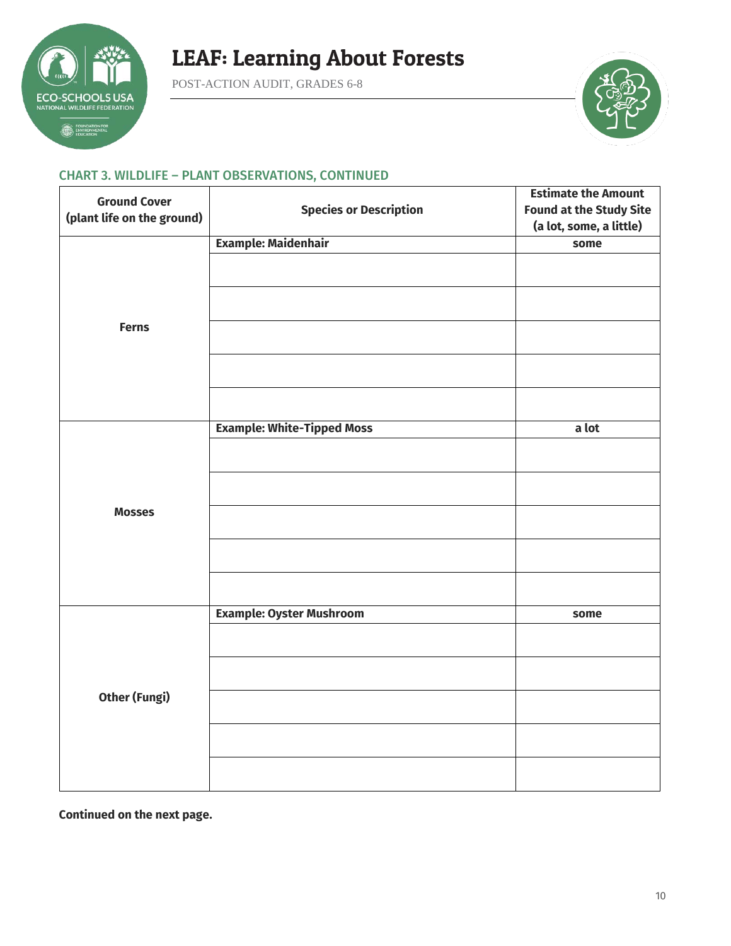

POST-ACTION AUDIT, GRADES 6-8



### CHART 3. WILDLIFE – PLANT OBSERVATIONS, CONTINUED

| <b>Ground Cover</b>        |                                   | <b>Estimate the Amount</b>     |
|----------------------------|-----------------------------------|--------------------------------|
| (plant life on the ground) | <b>Species or Description</b>     | <b>Found at the Study Site</b> |
|                            |                                   | (a lot, some, a little)        |
|                            | <b>Example: Maidenhair</b>        | some                           |
|                            |                                   |                                |
|                            |                                   |                                |
| <b>Ferns</b>               |                                   |                                |
|                            |                                   |                                |
|                            |                                   |                                |
|                            | <b>Example: White-Tipped Moss</b> | a lot                          |
|                            |                                   |                                |
|                            |                                   |                                |
| <b>Mosses</b>              |                                   |                                |
|                            |                                   |                                |
|                            |                                   |                                |
|                            | <b>Example: Oyster Mushroom</b>   | some                           |
|                            |                                   |                                |
|                            |                                   |                                |
| <b>Other (Fungi)</b>       |                                   |                                |
|                            |                                   |                                |
|                            |                                   |                                |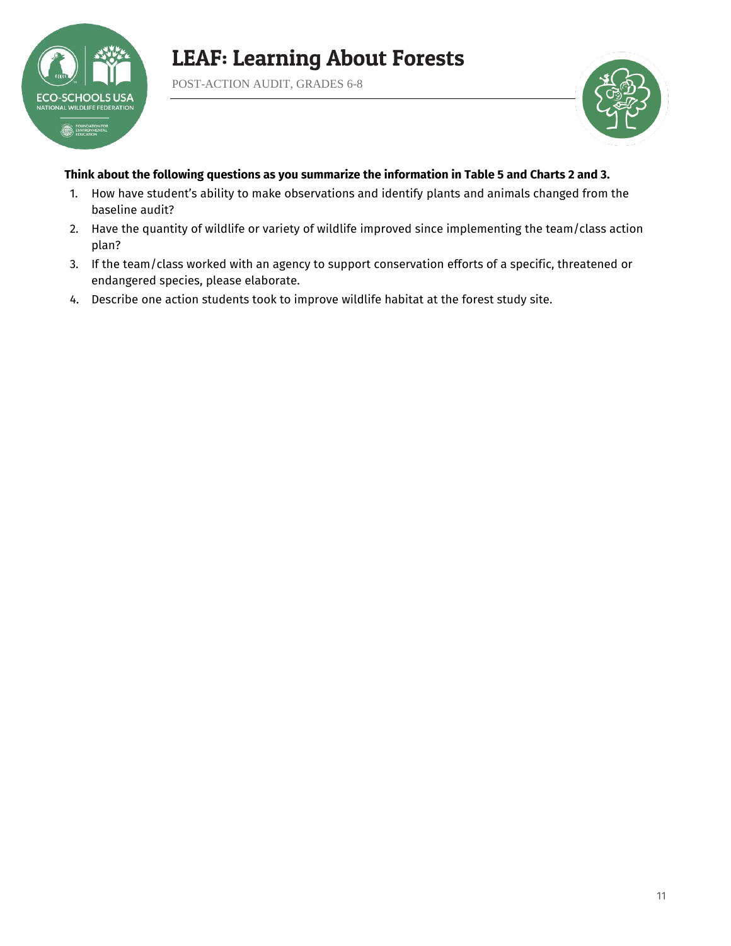

POST-ACTION AUDIT, GRADES 6-8



### **Think about the following questions as you summarize the information in Table 5 and Charts 2 and 3.**

- 1. How have student's ability to make observations and identify plants and animals changed from the baseline audit?
- 2. Have the quantity of wildlife or variety of wildlife improved since implementing the team/class action plan?
- 3. If the team/class worked with an agency to support conservation efforts of a specific, threatened or endangered species, please elaborate.
- 4. Describe one action students took to improve wildlife habitat at the forest study site.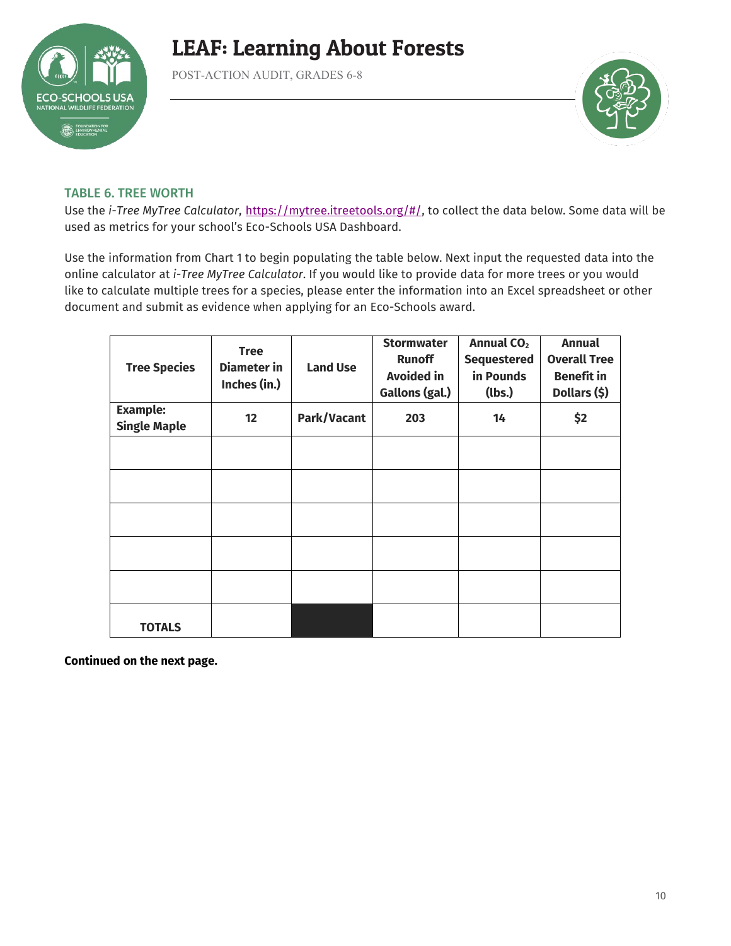

POST-ACTION AUDIT, GRADES 6-8



### TABLE 6. TREE WORTH

Use the *i-Tree MyTree Calculator*, [https://mytree.itreetools.org/#/,](https://mytree.itreetools.org/#/) to collect the data below. Some data will be used as metrics for your school's Eco-Schools USA Dashboard.

Use the information from Chart 1 to begin populating the table below. Next input the requested data into the online calculator at *i-Tree MyTree Calculator*. If you would like to provide data for more trees or you would like to calculate multiple trees for a species, please enter the information into an Excel spreadsheet or other document and submit as evidence when applying for an Eco-Schools award.

| <b>Tree Species</b>                    | <b>Tree</b><br><b>Diameter</b> in<br>Inches (in.) | <b>Land Use</b> | <b>Stormwater</b><br><b>Runoff</b><br><b>Avoided in</b><br>Gallons (gal.) | Annual CO <sub>2</sub><br><b>Sequestered</b><br>in Pounds<br>(lbs.) | <b>Annual</b><br><b>Overall Tree</b><br><b>Benefit in</b><br>Dollars (\$) |
|----------------------------------------|---------------------------------------------------|-----------------|---------------------------------------------------------------------------|---------------------------------------------------------------------|---------------------------------------------------------------------------|
| <b>Example:</b><br><b>Single Maple</b> | 12                                                | Park/Vacant     | 203                                                                       | 14                                                                  | \$2                                                                       |
|                                        |                                                   |                 |                                                                           |                                                                     |                                                                           |
|                                        |                                                   |                 |                                                                           |                                                                     |                                                                           |
|                                        |                                                   |                 |                                                                           |                                                                     |                                                                           |
|                                        |                                                   |                 |                                                                           |                                                                     |                                                                           |
|                                        |                                                   |                 |                                                                           |                                                                     |                                                                           |
| <b>TOTALS</b>                          |                                                   |                 |                                                                           |                                                                     |                                                                           |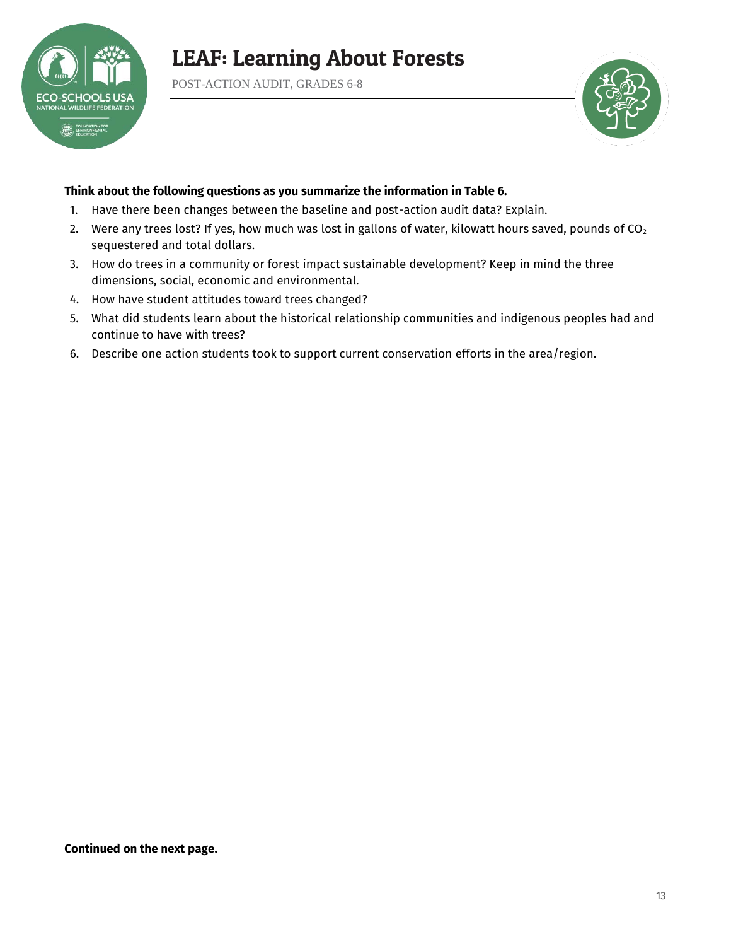

POST-ACTION AUDIT, GRADES 6-8



#### **Think about the following questions as you summarize the information in Table 6.**

- 1. Have there been changes between the baseline and post-action audit data? Explain.
- 2. Were any trees lost? If yes, how much was lost in gallons of water, kilowatt hours saved, pounds of  $CO<sub>2</sub>$ sequestered and total dollars.
- 3. How do trees in a community or forest impact sustainable development? Keep in mind the three dimensions, social, economic and environmental.
- 4. How have student attitudes toward trees changed?
- 5. What did students learn about the historical relationship communities and indigenous peoples had and continue to have with trees?
- 6. Describe one action students took to support current conservation efforts in the area/region.